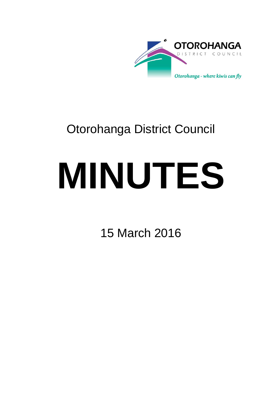

# Otorohanga District Council

# **MINUTES**

15 March 2016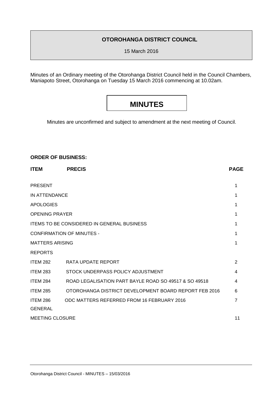### **OTOROHANGA DISTRICT COUNCIL**

15 March 2016

Minutes of an Ordinary meeting of the Otorohanga District Council held in the Council Chambers, Maniapoto Street, Otorohanga on Tuesday 15 March 2016 commencing at 10.02am.

## **MINUTES**

Minutes are unconfirmed and subject to amendment at the next meeting of Council.

#### **ORDER OF BUSINESS:**

| <b>ITEM</b>            | <b>PRECIS</b>                                         | <b>PAGE</b>    |  |
|------------------------|-------------------------------------------------------|----------------|--|
| <b>PRESENT</b>         |                                                       | 1              |  |
|                        | IN ATTENDANCE                                         |                |  |
| <b>APOLOGIES</b>       |                                                       | 1              |  |
| <b>OPENING PRAYER</b>  |                                                       | 1              |  |
|                        | <b>ITEMS TO BE CONSIDERED IN GENERAL BUSINESS</b>     | 1              |  |
|                        | <b>CONFIRMATION OF MINUTES -</b>                      | 1              |  |
| <b>MATTERS ARISING</b> |                                                       | 1              |  |
| <b>REPORTS</b>         |                                                       |                |  |
| <b>ITEM 282</b>        | RATA UPDATE REPORT                                    | $\overline{2}$ |  |
| <b>ITEM 283</b>        | STOCK UNDERPASS POLICY ADJUSTMENT                     | 4              |  |
| <b>ITEM 284</b>        | ROAD LEGALISATION PART BAYLE ROAD SO 49517 & SO 49518 | 4              |  |
| <b>ITEM 285</b>        | OTOROHANGA DISTRICT DEVELOPMENT BOARD REPORT FEB 2016 | 6              |  |
| <b>ITEM 286</b>        | ODC MATTERS REFERRED FROM 16 FEBRUARY 2016            | 7              |  |
| <b>GENERAL</b>         |                                                       |                |  |
| <b>MEETING CLOSURE</b> |                                                       | 11             |  |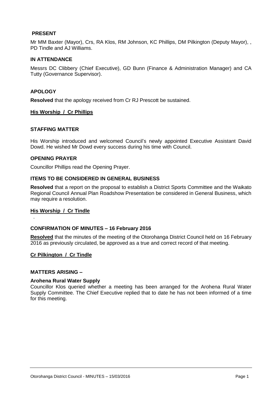#### **PRESENT**

Mr MM Baxter (Mayor), Crs, RA Klos, RM Johnson, KC Phillips, DM Pilkington (Deputy Mayor), , PD Tindle and AJ Williams.

#### **IN ATTENDANCE**

Messrs DC Clibbery (Chief Executive), GD Bunn (Finance & Administration Manager) and CA Tutty (Governance Supervisor).

#### **APOLOGY**

**Resolved** that the apology received from Cr RJ Prescott be sustained.

#### **His Worship / Cr Phillips**

#### **STAFFING MATTER**

His Worship introduced and welcomed Council's newly appointed Executive Assistant David Dowd. He wished Mr Dowd every success during his time with Council.

#### **OPENING PRAYER**

Councillor Phillips read the Opening Prayer.

#### **ITEMS TO BE CONSIDERED IN GENERAL BUSINESS**

**Resolved** that a report on the proposal to establish a District Sports Committee and the Waikato Regional Council Annual Plan Roadshow Presentation be considered in General Business, which may require a resolution.

#### **His Worship / Cr Tindle**

.

#### **CONFIRMATION OF MINUTES – 16 February 2016**

**Resolved** that the minutes of the meeting of the Otorohanga District Council held on 16 February 2016 as previously circulated, be approved as a true and correct record of that meeting.

#### **Cr Pilkington / Cr Tindle**

#### **MATTERS ARISING –**

#### **Arohena Rural Water Supply**

Councillor Klos queried whether a meeting has been arranged for the Arohena Rural Water Supply Committee. The Chief Executive replied that to date he has not been informed of a time for this meeting.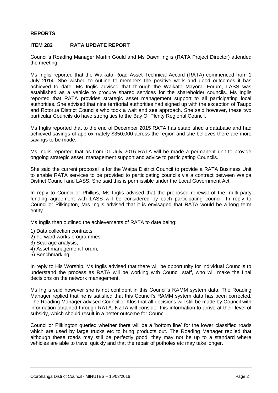#### **REPORTS**

#### **ITEM 282 RATA UPDATE REPORT**

Council's Roading Manager Martin Gould and Ms Dawn Inglis (RATA Project Director) attended the meeting.

Ms Inglis reported that the Waikato Road Asset Technical Accord (RATA) commenced from 1 July 2014. She wished to outline to members the positive work and good outcomes it has achieved to date. Ms Inglis advised that through the Waikato Mayoral Forum, LASS was established as a vehicle to procure shared services for the shareholder councils. Ms Inglis reported that RATA provides strategic asset management support to all participating local authorities. She advised that nine territorial authorities had signed up with the exception of Taupo and Rotorua District Councils who took a wait and see approach. She said however, these two particular Councils do have strong ties to the Bay Of Plenty Regional Council.

Ms Inglis reported that to the end of December 2015 RATA has established a database and had achieved savings of approximately \$350,000 across the region and she believes there are more savings to be made.

Ms Inglis reported that as from 01 July 2016 RATA will be made a permanent unit to provide ongoing strategic asset, management support and advice to participating Councils.

She said the current proposal is for the Waipa District Council to provide a RATA Business Unit to enable RATA services to be provided to participating councils via a contract between Waipa District Council and LASS. She said this is permissible under the Local Government Act.

In reply to Councillor Phillips, Ms Inglis advised that the proposed renewal of the multi-party funding agreement with LASS will be considered by each participating council. In reply to Councillor Pilkington, Mrs Inglis advised that it is envisaged that RATA would be a long term entity.

Ms Inglis then outlined the achievements of RATA to date being:

- 1) Data collection contracts
- 2) Forward works programmes
- 3) Seal age analysis,
- 4) Asset management Forum,
- 5) Benchmarking.

In reply to His Worship, Ms Inglis advised that there will be opportunity for individual Councils to understand the process as RATA will be working with Council staff, who will make the final decisions on the network management.

Ms Inglis said however she is not confident in this Council's RAMM system data. The Roading Manager replied that he is satisfied that this Council's RAMM system data has been corrected. The Roading Manager advised Councillor Klos that all decisions will still be made by Council with information obtained through RATA. NZTA will consider this information to arrive at their level of subsidy, which should result in a better outcome for Council.

Councillor Pilkington queried whether there will be a 'bottom line' for the lower classified roads which are used by large trucks etc to bring products out. The Roading Manager replied that although these roads may still be perfectly good, they may not be up to a standard where vehicles are able to travel quickly and that the repair of potholes etc may take longer.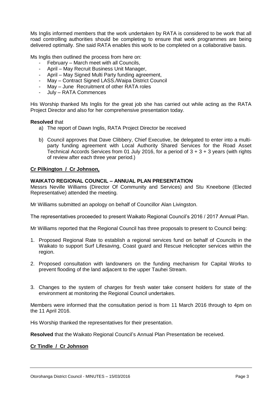Ms Inglis informed members that the work undertaken by RATA is considered to be work that all road controlling authorities should be completing to ensure that work programmes are being delivered optimally. She said RATA enables this work to be completed on a collaborative basis.

Ms Inglis then outlined the process from here on:

- February March meet with all Councils,
- April May Recruit Business Unit Manager,
- April May Signed Multi Party funding agreement,
- May Contract Signed LASS./Waipa District Council
- May June Recruitment of other RATA roles
- July RATA Commences

His Worship thanked Ms Inglis for the great job she has carried out while acting as the RATA Project Director and also for her comprehensive presentation today.

#### **Resolved** that

- a) The report of Dawn Inglis, RATA Project Director be received
- b) Council approves that Dave Clibbery, Chief Executive, be delegated to enter into a multiparty funding agreement with Local Authority Shared Services for the Road Asset Technical Accords Services from 01 July 2016, for a period of  $3 + 3 + 3$  years (with rights of review after each three year period.)

#### **Cr Pilkington / Cr Johnson,**

#### **WAIKATO REGIONAL COUNCIL – ANNUAL PLAN PRESENTATION**

Messrs Neville Williams (Director Of Community and Services) and Stu Kneebone (Elected Representative) attended the meeting.

Mr Williams submitted an apology on behalf of Councillor Alan Livingston.

The representatives proceeded to present Waikato Regional Council's 2016 / 2017 Annual Plan.

Mr Williams reported that the Regional Council has three proposals to present to Council being:

- 1. Proposed Regional Rate to establish a regional services fund on behalf of Councils in the Waikato to support Surf Lifesaving, Coast guard and Rescue Helicopter services within the region.
- 2. Proposed consultation with landowners on the funding mechanism for Capital Works to prevent flooding of the land adjacent to the upper Tauhei Stream.
- 3. Changes to the system of charges for fresh water take consent holders for state of the environment at monitoring the Regional Council undertakes.

Members were informed that the consultation period is from 11 March 2016 through to 4pm on the 11 April 2016.

His Worship thanked the representatives for their presentation.

**Resolved** that the Waikato Regional Council's Annual Plan Presentation be received.

#### **Cr Tindle / Cr Johnson**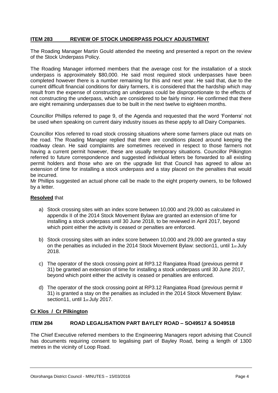#### **ITEM 283 REVIEW OF STOCK UNDERPASS POLICY ADJUSTMENT**

The Roading Manager Martin Gould attended the meeting and presented a report on the review of the Stock Underpass Policy.

The Roading Manager informed members that the average cost for the installation of a stock underpass is approximately \$80,000. He said most required stock underpasses have been completed however there is a number remaining for this and next year. He said that, due to the current difficult financial conditions for dairy farmers, it is considered that the hardship which may result from the expense of constructing an underpass could be disproportionate to the effects of not constructing the underpass, which are considered to be fairly minor. He confirmed that there are eight remaining underpasses due to be built in the next twelve to eighteen months.

Councillor Phillips referred to page 9, of the Agenda and requested that the word 'Fonterra' not be used when speaking on current dairy industry issues as these apply to all Dairy Companies.

Councillor Klos referred to road stock crossing situations where some farmers place out mats on the road. The Roading Manager replied that there are conditions placed around keeping the roadway clean. He said complaints are sometimes received in respect to those farmers not having a current permit however, these are usually temporary situations. Councillor Pilkington referred to future correspondence and suggested individual letters be forwarded to all existing permit holders and those who are on the upgrade list that Council has agreed to allow an extension of time for installing a stock underpass and a stay placed on the penalties that would be incurred.

Mr Phillips suggested an actual phone call be made to the eight property owners, to be followed by a letter.

#### **Resolved** that

- a) Stock crossing sites with an index score between 10,000 and 29,000 as calculated in appendix II of the 2014 Stock Movement Bylaw are granted an extension of time for installing a stock underpass until 30 June 2018, to be reviewed in April 2017, beyond which point either the activity is ceased or penalties are enforced.
- b) Stock crossing sites with an index score between 10,000 and 29,000 are granted a stay on the penalties as included in the 2014 Stock Movement Bylaw: section11, until 1st July 2018.
- c) The operator of the stock crossing point at RP3.12 Rangiatea Road (previous permit # 31) be granted an extension of time for installing a stock underpass until 30 June 2017, beyond which point either the activity is ceased or penalties are enforced.
- d) The operator of the stock crossing point at RP3.12 Rangiatea Road (previous permit # 31) is granted a stay on the penalties as included in the 2014 Stock Movement Bylaw: section11, until 1st July 2017.

#### **Cr Klos / Cr Pilkington**

#### **ITEM 284 ROAD LEGALISATION PART BAYLEY ROAD – SO49517 & SO49518**

The Chief Executive referred members to the Engineering Managers report advising that Council has documents requiring consent to legalising part of Bayley Road, being a length of 1300 metres in the vicinity of Loop Road.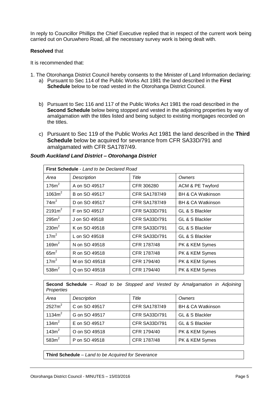In reply to Councillor Phillips the Chief Executive replied that in respect of the current work being carried out on Ouruwhero Road, all the necessary survey work is being dealt with.

#### **Resolved** that

It is recommended that:

- 1. The Otorohanga District Council hereby consents to the Minister of Land Information declaring: a) Pursuant to Sec 114 of the Public Works Act 1981 the land described in the **First Schedule** below to be road vested in the Otorohanga District Council.
	- b) Pursuant to Sec 116 and 117 of the Public Works Act 1981 the road described in the **Second Schedule** below being stopped and vested in the adjoining properties by way of amalgamation with the titles listed and being subject to existing mortgages recorded on the titles.
	- c) Pursuant to Sec 119 of the Public Works Act 1981 the land described in the **Third Schedule** below be acquired for severance from CFR SA33D/791 and amalgamated with CFR SA1787/49.

| <b>First Schedule</b> - Land to be Declared Road |               |                      |                              |  |  |
|--------------------------------------------------|---------------|----------------------|------------------------------|--|--|
| Area                                             | Description   | Title                | Owners                       |  |  |
| 176m <sup>2</sup>                                | A on SO 49517 | CFR 306280           | <b>ACM &amp; PE Twyford</b>  |  |  |
| 1063m <sup>2</sup>                               | B on SO 49517 | <b>CFR SA1787/49</b> | <b>BH &amp; CA Watkinson</b> |  |  |
| 74m <sup>2</sup>                                 | D on SO 49517 | <b>CFR SA1787/49</b> | <b>BH &amp; CA Watkinson</b> |  |  |
| 2191m <sup>2</sup>                               | F on SO 49517 | <b>CFR SA33D/791</b> | GL & S Blackler              |  |  |
| 295m <sup>2</sup>                                | J on SO 49518 | <b>CFR SA33D/791</b> | GL & S Blackler              |  |  |
| 230m <sup>2</sup>                                | K on SO 49518 | <b>CFR SA33D/791</b> | GL & S Blackler              |  |  |
| 17m <sup>2</sup>                                 | L on SO 49518 | <b>CFR SA33D/791</b> | GL & S Blackler              |  |  |
| 169m <sup>2</sup>                                | N on SO 49518 | CFR 1787/48          | PK & KEM Symes               |  |  |
| $65m^2$                                          | R on SO 49518 | CFR 1787/48          | PK & KEM Symes               |  |  |
| 17m <sup>2</sup>                                 | M on SO 49518 | CFR 1794/40          | PK & KEM Symes               |  |  |
| 538m <sup>2</sup>                                | Q on SO 49518 | CFR 1794/40          | PK & KEM Symes               |  |  |

#### *South Auckland Land District – Otorohanga District*

| Second Schedule - Road to be Stopped and Vested by Amalgamation in Adjoining<br>Properties |               |                      |                              |  |  |
|--------------------------------------------------------------------------------------------|---------------|----------------------|------------------------------|--|--|
| Area                                                                                       | Description   | Title                | Owners                       |  |  |
| 2527m <sup>2</sup>                                                                         | C on SO 49517 | <b>CFR SA1787/49</b> | <b>BH &amp; CA Watkinson</b> |  |  |
| 1134 $m2$                                                                                  | G on SO 49517 | <b>CFR SA33D/791</b> | GL & S Blackler              |  |  |
| 134m <sup>2</sup>                                                                          | E on SO 49517 | <b>CFR SA33D/791</b> | GL & S Blackler              |  |  |
| 143m <sup>2</sup>                                                                          | O on SO 49518 | CFR 1794/40          | PK & KEM Symes               |  |  |
| 583m <sup>2</sup>                                                                          | P on SO 49518 | CFR 1787/48          | PK & KEM Symes               |  |  |

**Third Schedule** – *Land to be Acquired for Severance*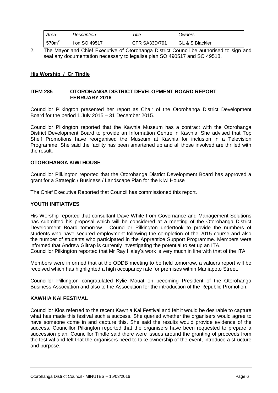| Area              | Description   | Title                | Owners          |
|-------------------|---------------|----------------------|-----------------|
| 570m <sup>2</sup> | l on SO 49517 | <b>CFR SA33D/791</b> | GL & S Blackler |

2. The Mayor and Chief Executive of Otorohanga District Council be authorised to sign and seal any documentation necessary to legalise plan SO 490517 and SO 49518.

#### **His Worship / Cr Tindle**

#### **ITEM 285 OTOROHANGA DISTRICT DEVELOPMENT BOARD REPORT FEBRUARY 2016**

Councillor Pilkington presented her report as Chair of the Otorohanga District Development Board for the period 1 July 2015 – 31 December 2015.

Councillor Pilkington reported that the Kawhia Museum has a contract with the Otorohanga District Development Board to provide an Information Centre in Kawhia. She advised that Top Shelf Promotions have reorganised the Museum at Kawhia for inclusion in a Television Programme. She said the facility has been smartened up and all those involved are thrilled with the result.

#### **OTOROHANGA KIWI HOUSE**

Councillor Pilkington reported that the Otorohanga District Development Board has approved a grant for a Strategic / Business / Landscape Plan for the Kiwi House

The Chief Executive Reported that Council has commissioned this report.

#### **YOUTH INITIATIVES**

His Worship reported that consultant Dave White from Governance and Management Solutions has submitted his proposal which will be considered at a meeting of the Otorohanga District Development Board tomorrow. Councillor Pilkington undertook to provide the numbers of students who have secured employment following the completion of the 2015 course and also the number of students who participated in the Apprentice Support Programme. Members were informed that Andrew Giltrap is currently investigating the potential to set up an ITA. Councillor Pilkington reported that Mr Ray Haley's work is very much in line with that of the ITA.

Members were informed that at the ODDB meeting to be held tomorrow, a valuers report will be received which has highlighted a high occupancy rate for premises within Maniapoto Street.

Councillor Pilkington congratulated Kylie Mouat on becoming President of the Otorohanga Business Association and also to the Association for the introduction of the Republic Promotion.

#### **KAWHIA KAI FESTIVAL**

Councillor Klos referred to the recent Kawhia Kai Festival and felt it would be desirable to capture what has made this festival such a success. She queried whether the organisers would agree to have someone come in and capture this. She said the results would provide evidence of the success. Councillor Pilkington reported that the organisers have been requested to prepare a succession plan. Councillor Tindle said there were issues around the granting of proceeds from the festival and felt that the organisers need to take ownership of the event, introduce a structure and purpose.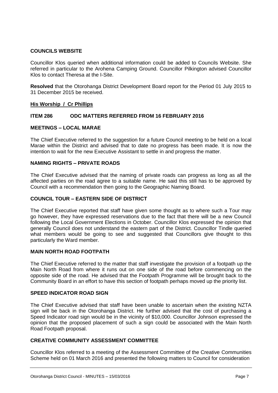#### **COUNCILS WEBSITE**

Councillor Klos queried when additional information could be added to Councils Website. She referred in particular to the Arohena Camping Ground. Councillor Pilkington advised Councillor Klos to contact Theresa at the I-Site.

**Resolved** that the Otorohanga District Development Board report for the Period 01 July 2015 to 31 December 2015 be received.

#### **His Worship / Cr Phillips**

#### **ITEM 286 ODC MATTERS REFERRED FROM 16 FEBRUARY 2016**

#### **MEETINGS – LOCAL MARAE**

The Chief Executive referred to the suggestion for a future Council meeting to be held on a local Marae within the District and advised that to date no progress has been made. It is now the intention to wait for the new Executive Assistant to settle in and progress the matter.

#### **NAMING RIGHTS – PRIVATE ROADS**

The Chief Executive advised that the naming of private roads can progress as long as all the affected parties on the road agree to a suitable name. He said this still has to be approved by Council with a recommendation then going to the Geographic Naming Board.

#### **COUNCIL TOUR – EASTERN SIDE OF DISTRICT**

The Chief Executive reported that staff have given some thought as to where such a Tour may go however, they have expressed reservations due to the fact that there will be a new Council following the Local Government Elections in October. Councillor Klos expressed the opinion that generally Council does not understand the eastern part of the District. Councillor Tindle queried what members would be going to see and suggested that Councillors give thought to this particularly the Ward member.

#### **MAIN NORTH ROAD FOOTPATH**

The Chief Executive referred to the matter that staff investigate the provision of a footpath up the Main North Road from where it runs out on one side of the road before commencing on the opposite side of the road. He advised that the Footpath Programme will be brought back to the Community Board in an effort to have this section of footpath perhaps moved up the priority list.

#### **SPEED INDICATOR ROAD SIGN**

The Chief Executive advised that staff have been unable to ascertain when the existing NZTA sign will be back in the Otorohanga District. He further advised that the cost of purchasing a Speed Indicator road sign would be in the vicinity of \$10,000. Councillor Johnson expressed the opinion that the proposed placement of such a sign could be associated with the Main North Road Footpath proposal.

#### **CREATIVE COMMUNITY ASSESSMENT COMMITTEE**

Councillor Klos referred to a meeting of the Assessment Committee of the Creative Communities Scheme held on 01 March 2016 and presented the following matters to Council for consideration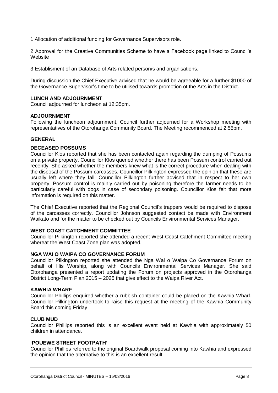1 Allocation of additional funding for Governance Supervisors role.

2 Approval for the Creative Communities Scheme to have a Facebook page linked to Council's **Website** 

3 Establisment of an Database of Arts related person/s and organisations.

During discussion the Chief Executive advised that he would be agreeable for a further \$1000 of the Governance Supervisor's time to be utilised towards promotion of the Arts in the District.

#### **LUNCH AND ADJOURNMENT**

Council adjourned for luncheon at 12:35pm.

#### **ADJOURNMENT**

Following the luncheon adjournment, Council further adjourned for a Workshop meeting with representatives of the Otorohanga Community Board. The Meeting recommenced at 2.55pm.

#### **GENERAL**

#### **DECEASED POSSUMS**

Councillor Klos reported that she has been contacted again regarding the dumping of Possums on a private property. Councillor Klos queried whether there has been Possum control carried out recently. She asked whether the members knew what is the correct procedure when dealing with the disposal of the Possum carcasses. Councillor Pilkington expressed the opinion that these are usually left where they fall. Councillor Pilkington further advised that in respect to her own property, Possum control is mainly carried out by poisoning therefore the farmer needs to be particularly careful with dogs in case of secondary poisoning. Councillor Klos felt that more information is required on this matter.

The Chief Executive reported that the Regional Council's trappers would be required to dispose of the carcasses correctly. Councillor Johnson suggested contact be made with Environment Waikato and for the matter to be checked out by Councils Environmental Services Manager.

#### **WEST COAST CATCHMENT COMMITTEE**

Councillor Pilkington reported she attended a recent West Coast Catchment Committee meeting whereat the West Coast Zone plan was adopted.

#### **NGA WAI O WAIPA CO GOVERNANCE FORUM**

Councillor Pilkington reported she attended the Nga Wai o Waipa Co Governance Forum on behalf of His Worship, along with Councils Environmental Services Manager. She said Otorohanga presented a report updating the Forum on projects approved in the Otorohanga District Long-Term Plan 2015 – 2025 that give effect to the Waipa River Act.

#### **KAWHIA WHARF**

Councillor Phillips enquired whether a rubbish container could be placed on the Kawhia Wharf. Councillor Pilkington undertook to raise this request at the meeting of the Kawhia Community Board this coming Friday

#### **CLUB MUD**

Councillor Phillips reported this is an excellent event held at Kawhia with approximately 50 children in attendance.

#### **'POUEWE STREET FOOTPATH'**

Councillor Phillips referred to the original Boardwalk proposal coming into Kawhia and expressed the opinion that the alternative to this is an excellent result.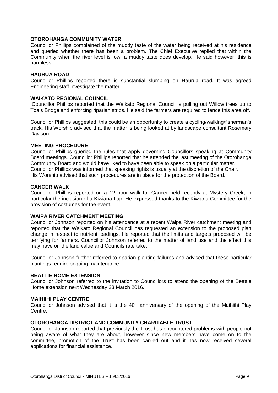#### **OTOROHANGA COMMUNITY WATER**

Councillor Phillips complained of the muddy taste of the water being received at his residence and queried whether there has been a problem. The Chief Executive replied that within the Community when the river level is low, a muddy taste does develop. He said however, this is harmless.

#### **HAURUA ROAD**

Councillor Phillips reported there is substantial slumping on Haurua road. It was agreed Engineering staff investigate the matter.

#### **WAIKATO REGIONAL COUNCIL**

Councillor Phillips reported that the Waikato Regional Council is pulling out Willow trees up to Toa's Bridge and enforcing riparian strips. He said the farmers are required to fence this area off.

Councillor Phillips suggested this could be an opportunity to create a cycling/walking/fisherman's track. His Worship advised that the matter is being looked at by landscape consultant Rosemary Davison.

#### **MEETING PROCEDURE**

Councillor Phillips queried the rules that apply governing Councillors speaking at Community Board meetings. Councillor Phillips reported that he attended the last meeting of the Otorohanga Community Board and would have liked to have been able to speak on a particular matter. Councillor Phillips was informed that speaking rights is usually at the discretion of the Chair. His Worship advised that such procedures are in place for the protection of the Board.

#### **CANCER WALK**

Councillor Phillips reported on a 12 hour walk for Cancer held recently at Mystery Creek, in particular the inclusion of a Kiwiana Lap. He expressed thanks to the Kiwiana Committee for the provision of costumes for the event.

#### **WAIPA RIVER CATCHMENT MEETING**

Councillor Johnson reported on his attendance at a recent Waipa River catchment meeting and reported that the Waikato Regional Council has requested an extension to the proposed plan change in respect to nutrient loadings. He reported that the limits and targets proposed will be terrifying for farmers. Councillor Johnson referred to the matter of land use and the effect this may have on the land value and Councils rate take.

Councillor Johnson further referred to riparian planting failures and advised that these particular plantings require ongoing maintenance.

#### **BEATTIE HOME EXTENSION**

Councillor Johnson referred to the invitation to Councillors to attend the opening of the Beattie Home extension next Wednesday 23 March 2016.

#### **MAIHIIHI PLAY CENTRE**

Councillor Johnson advised that it is the  $40<sup>th</sup>$  anniversary of the opening of the Maihiihi Play Centre.

#### **OTOROHANGA DISTRICT AND COMMUNITY CHARITABLE TRUST**

Councillor Johnson reported that previously the Trust has encountered problems with people not being aware of what they are about, however since new members have come on to the committee, promotion of the Trust has been carried out and it has now received several applications for financial assistance.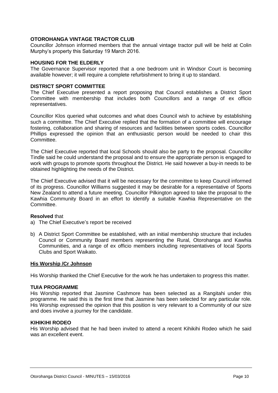#### **OTOROHANGA VINTAGE TRACTOR CLUB**

Councillor Johnson informed members that the annual vintage tractor pull will be held at Colin Murphy's property this Saturday 19 March 2016.

#### **HOUSING FOR THE ELDERLY**

The Governance Supervisor reported that a one bedroom unit in Windsor Court is becoming available however; it will require a complete refurbishment to bring it up to standard.

#### **DISTRICT SPORT COMMITTEE**

The Chief Executive presented a report proposing that Council establishes a District Sport Committee with membership that includes both Councillors and a range of ex officio representatives.

Councillor Klos queried what outcomes and what does Council wish to achieve by establishing such a committee. The Chief Executive replied that the formation of a committee will encourage fostering, collaboration and sharing of resources and facilities between sports codes. Councillor Phillips expressed the opinion that an enthusiastic person would be needed to chair this Committee.

The Chief Executive reported that local Schools should also be party to the proposal. Councillor Tindle said he could understand the proposal and to ensure the appropriate person is engaged to work with groups to promote sports throughout the District. He said however a buy-in needs to be obtained highlighting the needs of the District.

The Chief Executive advised that it will be necessary for the committee to keep Council informed of its progress. Councillor Williams suggested it may be desirable for a representative of Sports New Zealand to attend a future meeting. Councillor Pilkington agreed to take the proposal to the Kawhia Community Board in an effort to identify a suitable Kawhia Representative on the Committee.

#### **Resolved** that

- a) The Chief Executive's report be received
- b) A District Sport Committee be established, with an initial membership structure that includes Council or Community Board members representing the Rural, Otorohanga and Kawhia Communities, and a range of ex officio members including representatives of local Sports Clubs and Sport Waikato.

#### **His Worship /Cr Johnson**

His Worship thanked the Chief Executive for the work he has undertaken to progress this matter.

#### **TUIA PROGRAMME**

His Worship reported that Jasmine Cashmore has been selected as a Rangitahi under this programme. He said this is the first time that Jasmine has been selected for any particular role. His Worship expressed the opinion that this position is very relevant to a Community of our size and does involve a journey for the candidate.

#### **KIHIKIHI RODEO**

His Worship advised that he had been invited to attend a recent Kihikihi Rodeo which he said was an excellent event.